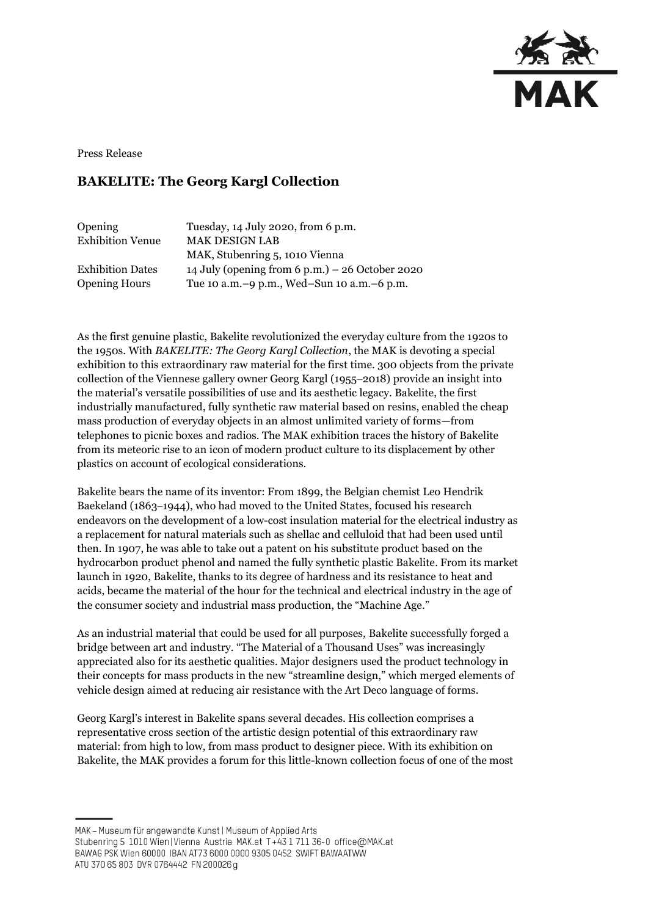

Press Release

## **BAKELITE: The Georg Kargl Collection**

| Opening                 | Tuesday, 14 July 2020, from 6 p.m.                |
|-------------------------|---------------------------------------------------|
| <b>Exhibition Venue</b> | <b>MAK DESIGN LAB</b>                             |
|                         | MAK, Stubenring 5, 1010 Vienna                    |
| <b>Exhibition Dates</b> | 14 July (opening from 6 p.m.) $-$ 26 October 2020 |
| <b>Opening Hours</b>    | Tue 10 a.m. -9 p.m., Wed-Sun 10 a.m. -6 p.m.      |

As the first genuine plastic, Bakelite revolutionized the everyday culture from the 1920s to the 1950s. With *BAKELITE: The Georg Kargl Collection*, the MAK is devoting a special exhibition to this extraordinary raw material for the first time. 300 objects from the private collection of the Viennese gallery owner Georg Kargl (1955–2018) provide an insight into the material's versatile possibilities of use and its aesthetic legacy. Bakelite, the first industrially manufactured, fully synthetic raw material based on resins, enabled the cheap mass production of everyday objects in an almost unlimited variety of forms—from telephones to picnic boxes and radios. The MAK exhibition traces the history of Bakelite from its meteoric rise to an icon of modern product culture to its displacement by other plastics on account of ecological considerations.

Bakelite bears the name of its inventor: From 1899, the Belgian chemist Leo Hendrik Baekeland (1863–1944), who had moved to the United States, focused his research endeavors on the development of a low-cost insulation material for the electrical industry as a replacement for natural materials such as shellac and celluloid that had been used until then. In 1907, he was able to take out a patent on his substitute product based on the hydrocarbon product phenol and named the fully synthetic plastic Bakelite. From its market launch in 1920, Bakelite, thanks to its degree of hardness and its resistance to heat and acids, became the material of the hour for the technical and electrical industry in the age of the consumer society and industrial mass production, the "Machine Age."

As an industrial material that could be used for all purposes, Bakelite successfully forged a bridge between art and industry. "The Material of a Thousand Uses" was increasingly appreciated also for its aesthetic qualities. Major designers used the product technology in their concepts for mass products in the new "streamline design," which merged elements of vehicle design aimed at reducing air resistance with the Art Deco language of forms.

Georg Kargl's interest in Bakelite spans several decades. His collection comprises a representative cross section of the artistic design potential of this extraordinary raw material: from high to low, from mass product to designer piece. With its exhibition on Bakelite, the MAK provides a forum for this little-known collection focus of one of the most

MAK - Museum für angewandte Kunst | Museum of Applied Arts

ATU 370 65 803 DVR 0764442 FN 200026 g

Stubenring 5 1010 Wien | Vienna Austria MAK.at T+43 1 711 36-0 office@MAK.at

BAWAG PSK Wien 60000 IBAN AT73 6000 0000 9305 0452 SWIFT BAWAATWW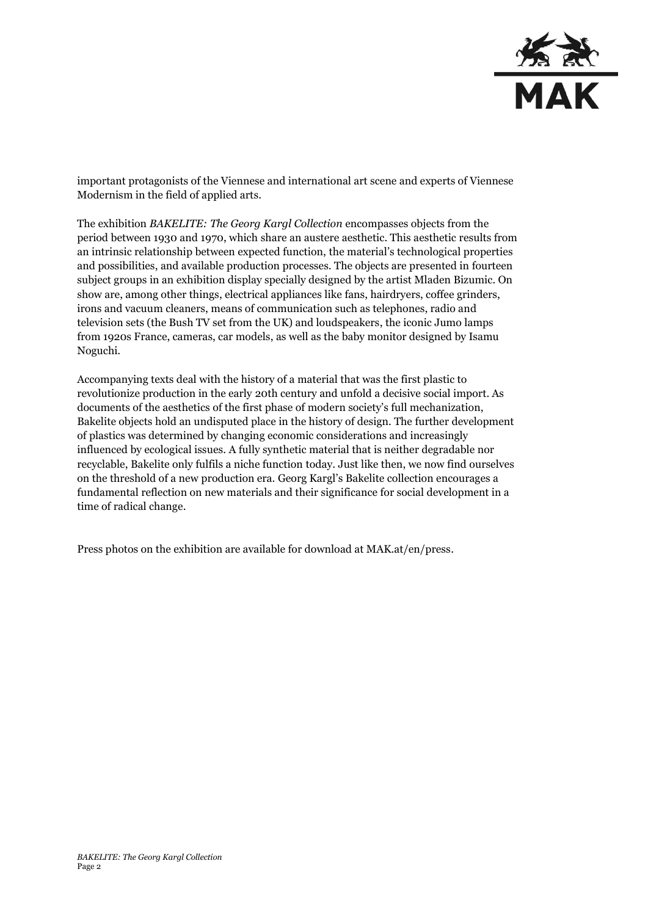

important protagonists of the Viennese and international art scene and experts of Viennese Modernism in the field of applied arts.

The exhibition *BAKELITE: The Georg Kargl Collection* encompasses objects from the period between 1930 and 1970, which share an austere aesthetic. This aesthetic results from an intrinsic relationship between expected function, the material's technological properties and possibilities, and available production processes. The objects are presented in fourteen subject groups in an exhibition display specially designed by the artist Mladen Bizumic. On show are, among other things, electrical appliances like fans, hairdryers, coffee grinders, irons and vacuum cleaners, means of communication such as telephones, radio and television sets (the Bush TV set from the UK) and loudspeakers, the iconic Jumo lamps from 1920s France, cameras, car models, as well as the baby monitor designed by Isamu Noguchi.

Accompanying texts deal with the history of a material that was the first plastic to revolutionize production in the early 20th century and unfold a decisive social import. As documents of the aesthetics of the first phase of modern society's full mechanization, Bakelite objects hold an undisputed place in the history of design. The further development of plastics was determined by changing economic considerations and increasingly influenced by ecological issues. A fully synthetic material that is neither degradable nor recyclable, Bakelite only fulfils a niche function today. Just like then, we now find ourselves on the threshold of a new production era. Georg Kargl's Bakelite collection encourages a fundamental reflection on new materials and their significance for social development in a time of radical change.

Press photos on the exhibition are available for download at MAK.at/en/press.